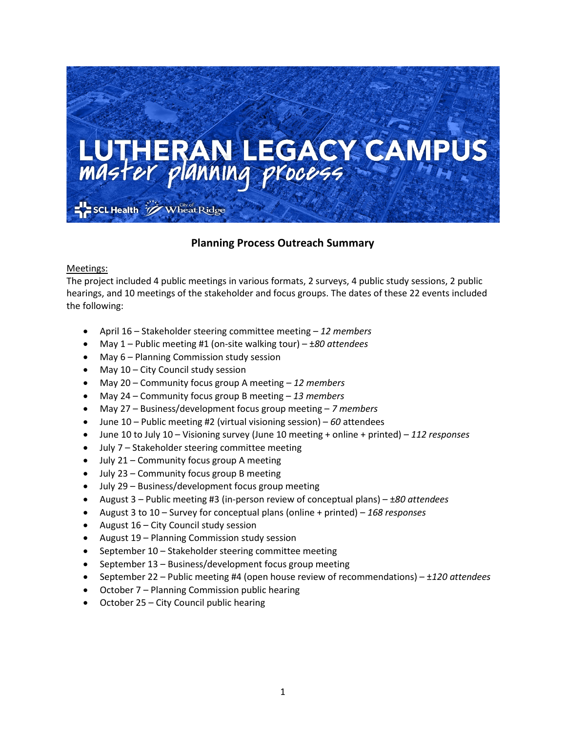

## **Planning Process Outreach Summary**

Meetings:

The project included 4 public meetings in various formats, 2 surveys, 4 public study sessions, 2 public hearings, and 10 meetings of the stakeholder and focus groups. The dates of these 22 events included the following:

- April 16 Stakeholder steering committee meeting *12 members*
- May 1 Public meeting #1 (on-site walking tour) ±*80 attendees*
- May 6 Planning Commission study session
- May 10 City Council study session
- May 20 Community focus group A meeting *12 members*
- May 24 Community focus group B meeting *13 members*
- May 27 Business/development focus group meeting *7 members*
- June 10 Public meeting #2 (virtual visioning session) *60* attendees
- June 10 to July 10 Visioning survey (June 10 meeting + online + printed) *112 responses*
- July 7 Stakeholder steering committee meeting
- July 21 Community focus group A meeting
- July 23 Community focus group B meeting
- July 29 Business/development focus group meeting
- August 3 Public meeting #3 (in-person review of conceptual plans) ±*80 attendees*
- August 3 to 10 Survey for conceptual plans (online + printed) *168 responses*
- August 16 City Council study session
- August 19 Planning Commission study session
- September 10 Stakeholder steering committee meeting
- September 13 Business/development focus group meeting
- September 22 Public meeting #4 (open house review of recommendations) ±*120 attendees*
- October 7 Planning Commission public hearing
- October 25 City Council public hearing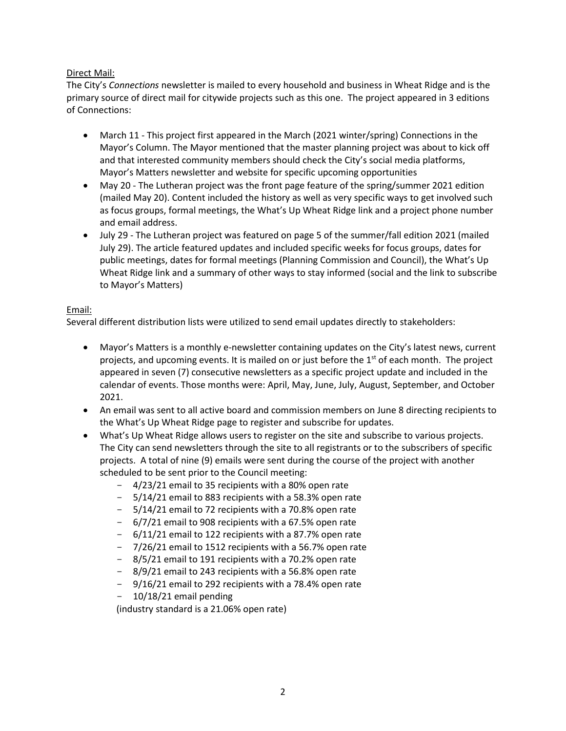### Direct Mail:

The City's *Connections* newsletter is mailed to every household and business in Wheat Ridge and is the primary source of direct mail for citywide projects such as this one. The project appeared in 3 editions of Connections:

- March 11 This project first appeared in the March (2021 winter/spring) Connections in the Mayor's Column. The Mayor mentioned that the master planning project was about to kick off and that interested community members should check the City's social media platforms, Mayor's Matters newsletter and website for specific upcoming opportunities
- May 20 The Lutheran project was the front page feature of the spring/summer 2021 edition (mailed May 20). Content included the history as well as very specific ways to get involved such as focus groups, formal meetings, the What's Up Wheat Ridge link and a project phone number and email address.
- July 29 The Lutheran project was featured on page 5 of the summer/fall edition 2021 (mailed July 29). The article featured updates and included specific weeks for focus groups, dates for public meetings, dates for formal meetings (Planning Commission and Council), the What's Up Wheat Ridge link and a summary of other ways to stay informed (social and the link to subscribe to Mayor's Matters)

#### Email:

Several different distribution lists were utilized to send email updates directly to stakeholders:

- Mayor's Matters is a monthly e-newsletter containing updates on the City's latest news, current projects, and upcoming events. It is mailed on or just before the 1<sup>st</sup> of each month. The project appeared in seven (7) consecutive newsletters as a specific project update and included in the calendar of events. Those months were: April, May, June, July, August, September, and October 2021.
- An email was sent to all active board and commission members on June 8 directing recipients to the What's Up Wheat Ridge page to register and subscribe for updates.
- What's Up Wheat Ridge allows users to register on the site and subscribe to various projects. The City can send newsletters through the site to all registrants or to the subscribers of specific projects. A total of nine (9) emails were sent during the course of the project with another scheduled to be sent prior to the Council meeting:
	- 4/23/21 email to 35 recipients with a 80% open rate
	- 5/14/21 email to 883 recipients with a 58.3% open rate
	- 5/14/21 email to 72 recipients with a 70.8% open rate
	- 6/7/21 email to 908 recipients with a 67.5% open rate
	- 6/11/21 email to 122 recipients with a 87.7% open rate
	- 7/26/21 email to 1512 recipients with a 56.7% open rate
	- 8/5/21 email to 191 recipients with a 70.2% open rate
	- 8/9/21 email to 243 recipients with a 56.8% open rate
	- 9/16/21 email to 292 recipients with a 78.4% open rate
	- 10/18/21 email pending

(industry standard is a 21.06% open rate)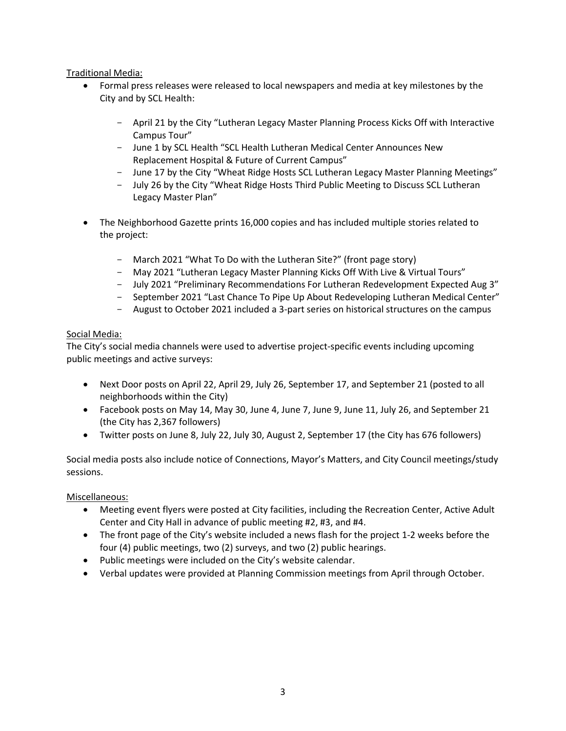Traditional Media:

- Formal press releases were released to local newspapers and media at key milestones by the City and by SCL Health:
	- April 21 by the City "Lutheran Legacy Master Planning Process Kicks Off with Interactive Campus Tour"
	- June 1 by SCL Health "SCL Health Lutheran Medical Center Announces New Replacement Hospital & Future of Current Campus"
	- June 17 by the City "Wheat Ridge Hosts SCL Lutheran Legacy Master Planning Meetings"
	- July 26 by the City "Wheat Ridge Hosts Third Public Meeting to Discuss SCL Lutheran Legacy Master Plan"
- The Neighborhood Gazette prints 16,000 copies and has included multiple stories related to the project:
	- March 2021 "What To Do with the Lutheran Site?" (front page story)
	- May 2021 "Lutheran Legacy Master Planning Kicks Off With Live & Virtual Tours"
	- July 2021 "Preliminary Recommendations For Lutheran Redevelopment Expected Aug 3"
	- September 2021 "Last Chance To Pipe Up About Redeveloping Lutheran Medical Center"
	- August to October 2021 included a 3-part series on historical structures on the campus

#### Social Media:

The City's social media channels were used to advertise project-specific events including upcoming public meetings and active surveys:

- Next Door posts on April 22, April 29, July 26, September 17, and September 21 (posted to all neighborhoods within the City)
- Facebook posts on May 14, May 30, June 4, June 7, June 9, June 11, July 26, and September 21 (the City has 2,367 followers)
- Twitter posts on June 8, July 22, July 30, August 2, September 17 (the City has 676 followers)

Social media posts also include notice of Connections, Mayor's Matters, and City Council meetings/study sessions.

Miscellaneous:

- Meeting event flyers were posted at City facilities, including the Recreation Center, Active Adult Center and City Hall in advance of public meeting #2, #3, and #4.
- The front page of the City's website included a news flash for the project 1-2 weeks before the four (4) public meetings, two (2) surveys, and two (2) public hearings.
- Public meetings were included on the City's website calendar.
- Verbal updates were provided at Planning Commission meetings from April through October.